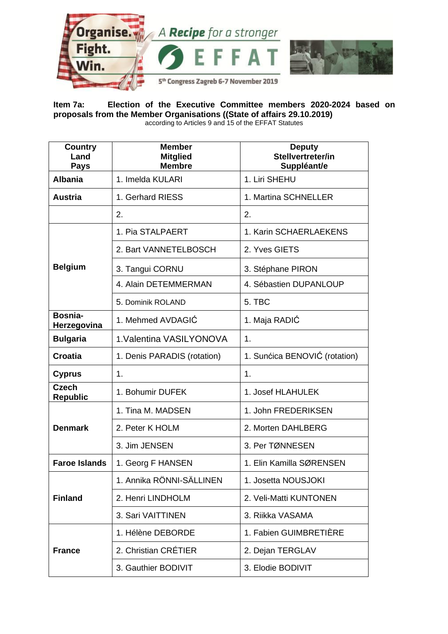

**Item 7a: Election of the Executive Committee members 2020-2024 based on proposals from the Member Organisations ((State of affairs 29.10.2019)**  according to Articles 9 and 15 of the EFFAT Statutes

| <b>Country</b><br>Land<br><b>Pays</b> | <b>Member</b><br><b>Mitglied</b><br><b>Membre</b> | <b>Deputy</b><br>Stellvertreter/in<br>Suppléant/e |
|---------------------------------------|---------------------------------------------------|---------------------------------------------------|
| <b>Albania</b>                        | 1. Imelda KULARI                                  | 1. Liri SHEHU                                     |
| <b>Austria</b>                        | 1. Gerhard RIESS                                  | 1. Martina SCHNELLER                              |
|                                       | 2.                                                | 2.                                                |
|                                       | 1. Pia STALPAERT                                  | 1. Karin SCHAERLAEKENS                            |
|                                       | 2. Bart VANNETELBOSCH                             | 2. Yves GIETS                                     |
| <b>Belgium</b>                        | 3. Tangui CORNU                                   | 3. Stéphane PIRON                                 |
|                                       | 4. Alain DETEMMERMAN                              | 4. Sébastien DUPANLOUP                            |
|                                       | 5. Dominik ROLAND                                 | 5. TBC                                            |
| Bosnia-<br>Herzegovina                | 1. Mehmed AVDAGIĆ                                 | 1. Maja RADIĆ                                     |
| <b>Bulgaria</b>                       | 1. Valentina VASILYONOVA                          | 1.                                                |
| <b>Croatia</b>                        | 1. Denis PARADIS (rotation)                       | 1. Sunćica BENOVIĆ (rotation)                     |
| <b>Cyprus</b>                         | 1.                                                | 1.                                                |
| <b>Czech</b><br><b>Republic</b>       | 1. Bohumir DUFEK                                  | 1. Josef HLAHULEK                                 |
|                                       | 1. Tina M. MADSEN                                 | 1. John FREDERIKSEN                               |
| <b>Denmark</b>                        | 2. Peter K HOLM                                   | 2. Morten DAHLBERG                                |
|                                       | 3. Jim JENSEN                                     | 3. Per TØNNESEN                                   |
| <b>Faroe Islands</b>                  | 1. Georg F HANSEN                                 | 1. Elin Kamilla SØRENSEN                          |
|                                       | 1. Annika RÖNNI-SÄLLINEN                          | 1. Josetta NOUSJOKI                               |
| <b>Finland</b>                        | 2. Henri LINDHOLM                                 | 2. Veli-Matti KUNTONEN                            |
|                                       | 3. Sari VAITTINEN                                 | 3. Riikka VASAMA                                  |
|                                       | 1. Hélène DEBORDE                                 | 1. Fabien GUIMBRETIÈRE                            |
| <b>France</b>                         | 2. Christian CRÉTIER                              | 2. Dejan TERGLAV                                  |
|                                       | 3. Gauthier BODIVIT                               | 3. Elodie BODIVIT                                 |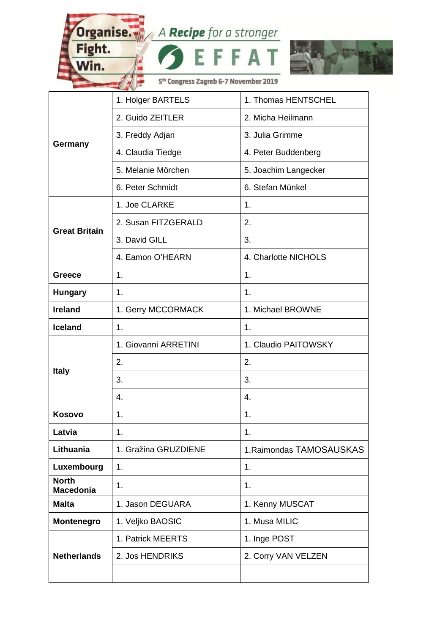Organise. A Recipe for a stronger

c

E.

 $\overline{\mathbf{A}}$ 

Fight.

Win.



5<sup>th</sup> Congress Zagreb 6-7 November 2019

¢,

|                                  | <b>STATES AND</b>    |                          |
|----------------------------------|----------------------|--------------------------|
| Germany                          | 1. Holger BARTELS    | 1. Thomas HENTSCHEL      |
|                                  | 2. Guido ZEITLER     | 2. Micha Heilmann        |
|                                  | 3. Freddy Adjan      | 3. Julia Grimme          |
|                                  | 4. Claudia Tiedge    | 4. Peter Buddenberg      |
|                                  | 5. Melanie Mörchen   | 5. Joachim Langecker     |
|                                  | 6. Peter Schmidt     | 6. Stefan Münkel         |
| <b>Great Britain</b>             | 1. Joe CLARKE        | 1.                       |
|                                  | 2. Susan FITZGERALD  | 2.                       |
|                                  | 3. David GILL        | 3.                       |
|                                  | 4. Eamon O'HEARN     | 4. Charlotte NICHOLS     |
| <b>Greece</b>                    | 1.                   | 1.                       |
| <b>Hungary</b>                   | 1.                   | $\mathbf{1}$ .           |
| <b>Ireland</b>                   | 1. Gerry MCCORMACK   | 1. Michael BROWNE        |
| <b>Iceland</b>                   | 1.                   | 1.                       |
| <b>Italy</b>                     | 1. Giovanni ARRETINI | 1. Claudio PAITOWSKY     |
|                                  | 2.                   | 2.                       |
|                                  | 3.                   | 3.                       |
|                                  | 4.                   | 4.                       |
| <b>Kosovo</b>                    | 1.                   | 1.                       |
| Latvia                           | 1.                   | 1.                       |
| Lithuania                        | 1. Gražina GRUZDIENE | 1. Raimondas TAMOSAUSKAS |
| Luxembourg                       | 1.                   | 1.                       |
| <b>North</b><br><b>Macedonia</b> | 1.                   | 1.                       |
| <b>Malta</b>                     | 1. Jason DEGUARA     | 1. Kenny MUSCAT          |
| <b>Montenegro</b>                | 1. Veljko BAOSIC     | 1. Musa MILIC            |
| <b>Netherlands</b>               | 1. Patrick MEERTS    | 1. Inge POST             |
|                                  | 2. Jos HENDRIKS      | 2. Corry VAN VELZEN      |
|                                  |                      |                          |